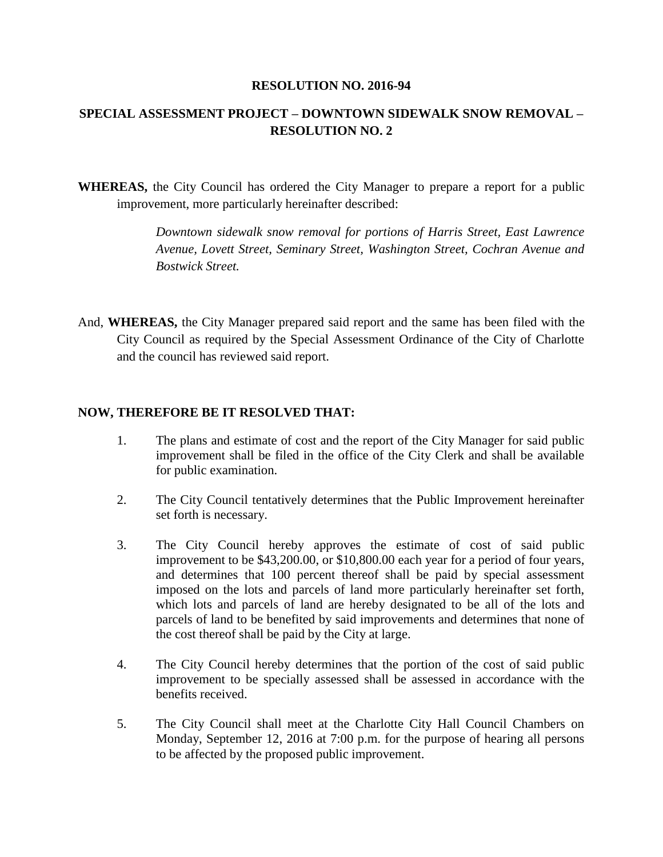#### **RESOLUTION NO. 2016-94**

# **SPECIAL ASSESSMENT PROJECT – DOWNTOWN SIDEWALK SNOW REMOVAL – RESOLUTION NO. 2**

**WHEREAS,** the City Council has ordered the City Manager to prepare a report for a public improvement, more particularly hereinafter described:

> *Downtown sidewalk snow removal for portions of Harris Street, East Lawrence Avenue, Lovett Street, Seminary Street, Washington Street, Cochran Avenue and Bostwick Street.*

And, **WHEREAS,** the City Manager prepared said report and the same has been filed with the City Council as required by the Special Assessment Ordinance of the City of Charlotte and the council has reviewed said report.

## **NOW, THEREFORE BE IT RESOLVED THAT:**

- 1. The plans and estimate of cost and the report of the City Manager for said public improvement shall be filed in the office of the City Clerk and shall be available for public examination.
- 2. The City Council tentatively determines that the Public Improvement hereinafter set forth is necessary.
- 3. The City Council hereby approves the estimate of cost of said public improvement to be \$43,200.00, or \$10,800.00 each year for a period of four years, and determines that 100 percent thereof shall be paid by special assessment imposed on the lots and parcels of land more particularly hereinafter set forth, which lots and parcels of land are hereby designated to be all of the lots and parcels of land to be benefited by said improvements and determines that none of the cost thereof shall be paid by the City at large.
- 4. The City Council hereby determines that the portion of the cost of said public improvement to be specially assessed shall be assessed in accordance with the benefits received.
- 5. The City Council shall meet at the Charlotte City Hall Council Chambers on Monday, September 12, 2016 at 7:00 p.m. for the purpose of hearing all persons to be affected by the proposed public improvement.